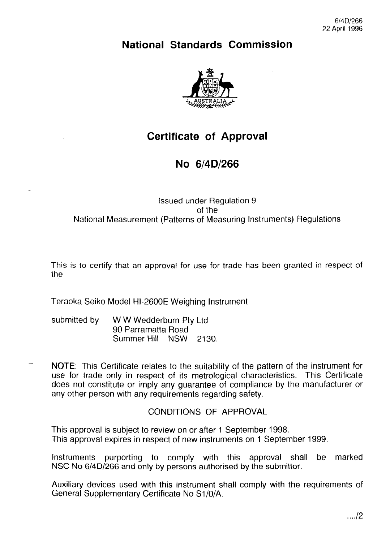### **National Standards Commission**



## **Certificate of Approval**

## **No 6/4D/266**

#### Issued under Regulation 9 of the National Measurement (Patterns of Measuring Instruments) Regulations

This is to certify that an approval for use for trade has been granted in respect of the

Teraoka Seiko Model HI-2600E Weighing Instrument

- submitted by WW Wedderburn Pty Ltd 90 Parramatta Road Summer Hill NSW 2130.
- NOTE: This Certificate relates to the suitability of the pattern of the instrument for use for trade only in respect of its metrological characteristics. This Certificate does not constitute or imply any guarantee of compliance by the manufacturer or any other person with any requirements regarding safety.

### CONDITIONS OF APPROVAL

This approval is subject to review on or after I September 1998. This approval expires in respect of new instruments on 1 September 1999.

Instruments purporting to comply with this approval shall be marked NSC No 6/4D/266 and only by persons authorised by the submittor.

Auxiliary devices used with this instrument shall comply with the requirements of General Supplementary Certificate No Si /O/A.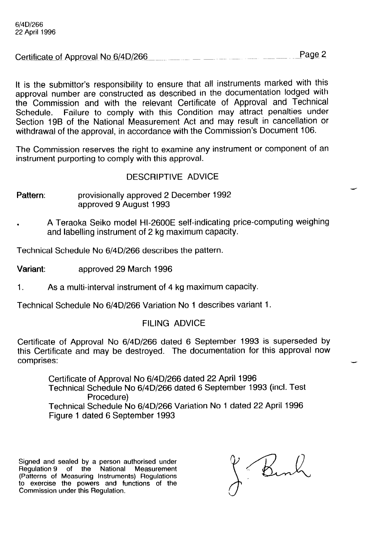|                                     | Page 2                                                                                                         |
|-------------------------------------|----------------------------------------------------------------------------------------------------------------|
| Certificate of Approval No 6/4D/266 | comments of the comment of the comments of the comments of the comments of the comments of the comments of the |

It is the Submittor's responsibility to ensure that all instruments marked with this approval number are constructed as described in the documentation lodged with the Commission and with the relevant Certificate of Approval and Technical Schedule. Failure to comply with this Condition may attract penalties under Section 19B of the National Measurement Act and may result in cancellation or withdrawal of the approval, in accordance with the Commission's Document 106.

The Commission reserves the right to examine any instrument or component of an instrument purporting to comply with this approval.

#### DESCRIPTIVE ADVICE

- Pattern: provisionally approved 2 December 1992 approved 9 August 1993
- . A Teraoka Seiko model HI-2600E self-indicating price-computing weighing and labelling instrument of 2 kg maximum capacity.

Technical Schedule No 6/4D/266 describes the pattern.

Variant: approved 29 March 1996

1. As a multi-interval instrument of 4 kg maximum capacity.

Technical Schedule No 6/4D/266 Variation No 1 describes variant 1.

#### FILING ADVICE

Certificate of Approval No 6/4D/266 dated 6 September 1993 is superseded by this Certificate and may be destroyed. The documentation for this approval now comprises:

Certificate of Approval No 6/4D/266 dated 22 April 1996 Technical Schedule No 6/4D/266 dated 6 September 1993 (incl. Test Procedure) Technical Schedule No 6/4D/266 Variation No 1 dated 22 April 1996 Figure 1 dated 6 September 1993

Signed and sealed by a person authorised under Regulation 9 of the National Measurement (Patterns of Measuring Instruments) Regulations to exercise the powers and functions of the Commission under this Regulation.

Bink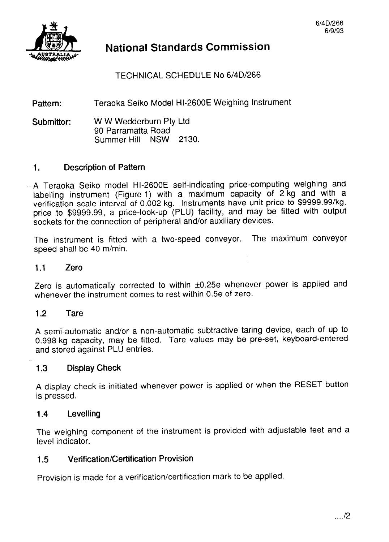

### **National Standards Commission**

TECHNICAL SCHEDULE No 6/4D/266

Pattern: Teraoka Seiko Model HI-2600E Weighing Instrument

Submittor: W W Wedderburn Pty Ltd 90 Parramatta Road Summer Hill NSW 2130.

### 1. Description of Pattern

- A Teraoka Seiko model HI-2600E self-indicating price-computing weighing and labelling instrument (Figure 1) with a maximum capacity of 2 kg and with a verification scale interval of 0.002 kg. Instruments have unit price to \$9999.99/kg, price to \$9999.99, a price-look-up (PLU) facility, and may be fitted with output sockets for the connection of peripheral and/or auxiliary devices.

The instrument is fitted with a two-speed conveyor. The maximum conveyor speed shall be 40 m/min.

#### 1.1 Zero

Zero is automatically corrected to within ±0.25e whenever power is applied and whenever the instrument comes to rest within 0.5e of zero.

#### 1.2 Tare

A semi-automatic and/or a non-automatic subtractive taring device, each of up to 0.998 kg capacity, may be fitted. Tare values may be pre-set, keyboard-entered and stored against PLU entries.

#### 1.3 Display Check

A display check is initiated whenever power is applied or when the RESET button is pressed.

#### 1.4 Levelling

The weighing component of the instrument is provided with adjustable feet and a level indicator.

#### 1.5 Verification/Certification Provision

Provision is made for a verification/certification mark to be applied.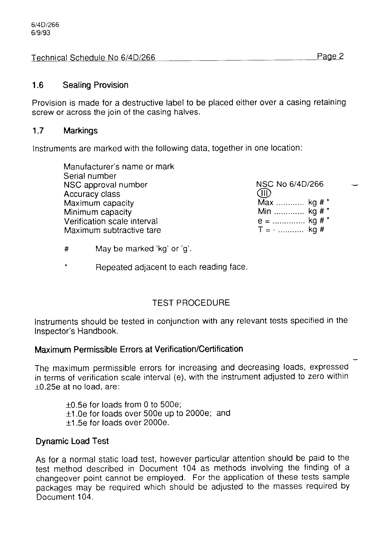Technical Schedule No 6/4D/266 Page 2

#### 1.6 Sealing Provision

Provision is made for a destructive label to be placed either over a casing retaining screw or across the join of the casing halves.

#### 1.7 Markings

Instruments are marked with the following data, together in one location:

| Manufacturer's name or mark |                 |  |
|-----------------------------|-----------------|--|
| Serial number               |                 |  |
| NSC approval number         | NSC No 6/4D/266 |  |
| <b>Accuracy class</b>       | (III)           |  |
| Maximum capacity            | Max  kg # *     |  |
| Minimum capacity            | Min  kg # *     |  |
| Verification scale interval | $e =$ kg # *    |  |
| Maximum subtractive tare    | $T = -$ kg #    |  |
|                             |                 |  |

- # May be marked 'kg' or 'g'.
- Repeated adjacent to each reading face.

### TEST PROCEDURE

Instruments should be tested in conjunction with any relevant tests specified in the Inspector's Handbook.

### Maximum Permissible Errors at Verification/Certification

The maximum permissible errors for increasing and decreasing loads, expressed in terms of verification scale interval (e), with the instrument adjusted to zero within +0.25e at no load, are:

- $\pm 0.5e$  for loads from 0 to 500e:
- $\pm$ 1.0e for loads over 500e up to 2000e; and
- +1.5e for loads over 2000e.

### Dynamic Load Test

As for a normal static load test, however particular attention should be paid to the test method described in Document 104 as methods involving the finding of a changeover point cannot be employed. For the application of these tests sample packages may be required which should be adjusted to the masses required by Document 104.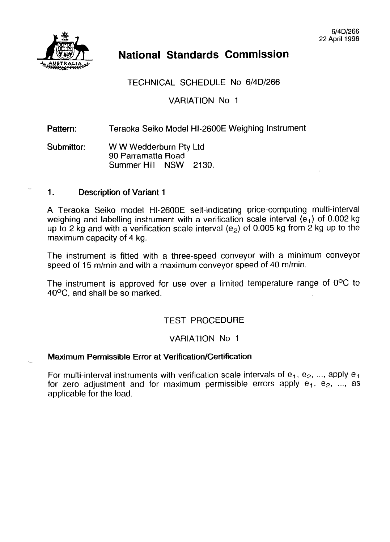

# **National Standards Commission**

### TECHNICAL SCHEDULE No 6/4D/266

VARIATION No 1

#### Pattern: Teraoka Seiko Model HI-2600E Weighing Instrument

Submittor: W W Wedderburn Pty Ltd 90 Parramatta Road Summer Hill NSW 2130.

#### 1. Description of Variant 1

A Teraoka Seiko model HI-2600E self-indicating price-computing multi-interval weighing and labelling instrument with a verification scale interval  $(e_1)$  of 0.002 kg up to 2 kg and with a verification scale interval ( $e<sub>2</sub>$ ) of 0.005 kg from 2 kg up to the maximum capacity of 4 kg.

The instrument is fitted with a three-speed conveyor with a minimum conveyor speed of 15 m/min and with a maximum conveyor speed of 40 m/min.

The instrument is approved for use over a limited temperature range of O°C to 40°C, and shall be so marked.

#### TEST PROCEDURE

#### VARIATION No 1

#### Maximum Permissible Error at Verification/Certification

For multi-interval instruments with verification scale intervals of  $e_1$ ,  $e_2$ , ..., apply  $e_1$ for zero adjustment and for maximum permissible errors apply  $e_1, e_2, ...$  as applicable for the load.